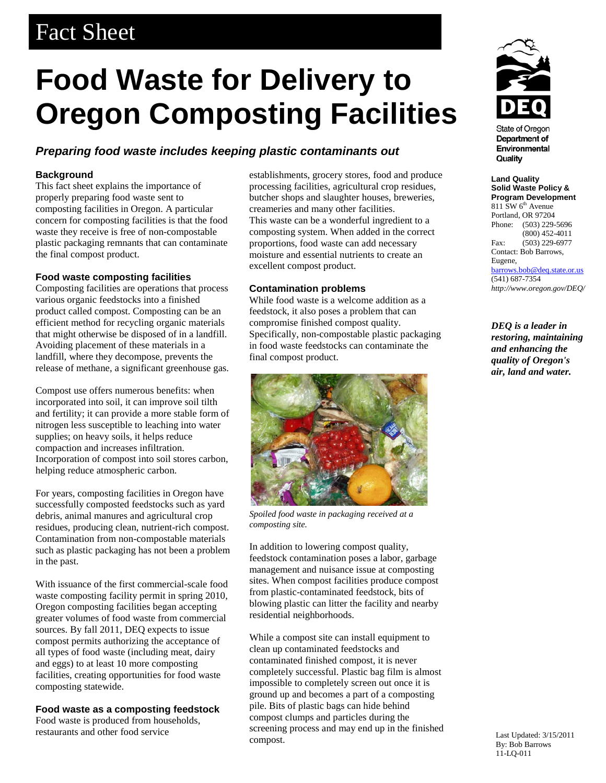## Fact Sheet

# **Food Waste for Delivery to Oregon Composting Facilities**

### *Preparing food waste includes keeping plastic contaminants out*

#### **Background**

This fact sheet explains the importance of properly preparing food waste sent to composting facilities in Oregon. A particular concern for composting facilities is that the food waste they receive is free of non-compostable plastic packaging remnants that can contaminate the final compost product.

#### **Food waste composting facilities**

Composting facilities are operations that process various organic feedstocks into a finished product called compost. Composting can be an efficient method for recycling organic materials that might otherwise be disposed of in a landfill. Avoiding placement of these materials in a landfill, where they decompose, prevents the release of methane, a significant greenhouse gas.

Compost use offers numerous benefits: when incorporated into soil, it can improve soil tilth and fertility; it can provide a more stable form of nitrogen less susceptible to leaching into water supplies; on heavy soils, it helps reduce compaction and increases infiltration. Incorporation of compost into soil stores carbon, helping reduce atmospheric carbon.

For years, composting facilities in Oregon have successfully composted feedstocks such as yard debris, animal manures and agricultural crop residues, producing clean, nutrient-rich compost. Contamination from non-compostable materials such as plastic packaging has not been a problem in the past.

With issuance of the first commercial-scale food waste composting facility permit in spring 2010, Oregon composting facilities began accepting greater volumes of food waste from commercial sources. By fall 2011, DEQ expects to issue compost permits authorizing the acceptance of all types of food waste (including meat, dairy and eggs) to at least 10 more composting facilities, creating opportunities for food waste composting statewide.

**Food waste as a composting feedstock** Food waste is produced from households,

restaurants and other food service

establishments, grocery stores, food and produce processing facilities, agricultural crop residues, butcher shops and slaughter houses, breweries, creameries and many other facilities. This waste can be a wonderful ingredient to a composting system. When added in the correct proportions, food waste can add necessary moisture and essential nutrients to create an

#### **Contamination problems**

excellent compost product.

While food waste is a welcome addition as a feedstock, it also poses a problem that can compromise finished compost quality. Specifically, non-compostable plastic packaging in food waste feedstocks can contaminate the final compost product.



*Spoiled food waste in packaging received at a composting site.*

In addition to lowering compost quality, feedstock contamination poses a labor, garbage management and nuisance issue at composting sites. When compost facilities produce compost from plastic-contaminated feedstock, bits of blowing plastic can litter the facility and nearby residential neighborhoods.

While a compost site can install equipment to clean up contaminated feedstocks and contaminated finished compost, it is never completely successful. Plastic bag film is almost impossible to completely screen out once it is ground up and becomes a part of a composting pile. Bits of plastic bags can hide behind compost clumps and particles during the screening process and may end up in the finished compost.



**State of Oregon** Department of Environmental Quality

**Land Quality Solid Waste Policy & Program Development**  $811$  SW  $6<sup>th</sup>$  Avenue Portland, OR 97204 Phone: (503) 229-5696 (800) 452-4011 Fax: (503) 229-6977 Contact: Bob Barrows, Eugene, [barrows.bob@deq.state.or.us](mailto:barrows.bob@deq.state.or.us) (541) 687-7354 *<http://www.oregon.gov/DEQ/>*

*DEQ is a leader in restoring, maintaining and enhancing the quality of Oregon's air, land and water.*

Last Updated: 3/15/2011 By: Bob Barrows 11-LQ-011